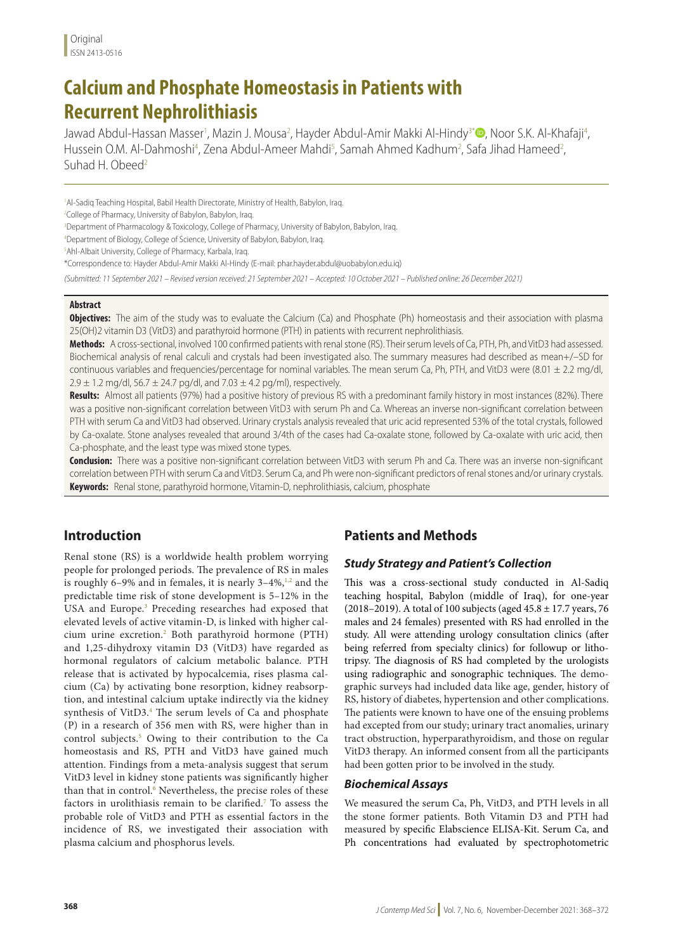# **Calcium and Phosphate Homeostasis in Patients with Recurrent Nephrolithiasis**

Jawad Abdul-Hassan Masser<sup>1</sup>, Mazin J. Mousa<sup>2</sup>, Hayder Abdul-Amir Makki Al-Hindy<sup>3\*</sup>®, Noor S.K. Al-Khafaji<sup>4</sup>, Hussein O.M. Al-Dahmoshi<sup>4</sup>, Zena Abdul-Ameer Mahdi<sup>5</sup>, Samah Ahmed Kadhum<sup>2</sup>, Safa Jihad Hameed<sup>2</sup>, Suhad H. Obeed<sup>2</sup>

<sup>1</sup>Al-Sadiq Teaching Hospital, Babil Health Directorate, Ministry of Health, Babylon, Iraq.

<sup>2</sup>College of Pharmacy, University of Babylon, Babylon, Iraq.

<sup>3</sup>Department of Pharmacology & Toxicology, College of Pharmacy, University of Babylon, Babylon, Iraq.

4 Department of Biology, College of Science, University of Babylon, Babylon, Iraq.

5 Ahl-Albait University, College of Pharmacy, Karbala, Iraq.

\*Correspondence to: Hayder Abdul-Amir Makki Al-Hindy (E-mail: phar.hayder.abdul@uobabylon.edu.iq)

*(Submitted: 11 September 2021 – Revised version received: 21 September 2021 – Accepted: 10 October 2021 – Published online: 26 December 2021)*

#### **Abstract**

**Objectives:** The aim of the study was to evaluate the Calcium (Ca) and Phosphate (Ph) homeostasis and their association with plasma 25(OH)2 vitamin D3 (VitD3) and parathyroid hormone (PTH) in patients with recurrent nephrolithiasis.

**Methods:** A cross-sectional, involved 100 confirmed patients with renal stone (RS). Their serum levels of Ca, PTH, Ph, and VitD3 had assessed. Biochemical analysis of renal calculi and crystals had been investigated also. The summary measures had described as mean+/–SD for continuous variables and frequencies/percentage for nominal variables. The mean serum Ca, Ph, PTH, and VitD3 were  $(8.01 \pm 2.2 \text{ mg/dl})$ ,  $2.9 \pm 1.2$  mg/dl,  $56.7 \pm 24.7$  pg/dl, and  $7.03 \pm 4.2$  pg/ml), respectively.

**Results:** Almost all patients (97%) had a positive history of previous RS with a predominant family history in most instances (82%). There was a positive non-significant correlation between VitD3 with serum Ph and Ca. Whereas an inverse non-significant correlation between PTH with serum Ca and VitD3 had observed. Urinary crystals analysis revealed that uric acid represented 53% of the total crystals, followed by Ca-oxalate. Stone analyses revealed that around 3/4th of the cases had Ca-oxalate stone, followed by Ca-oxalate with uric acid, then Ca-phosphate, and the least type was mixed stone types.

**Conclusion:** There was a positive non-significant correlation between VitD3 with serum Ph and Ca. There was an inverse non-significant correlation between PTH with serum Ca and VitD3. Serum Ca, and Ph were non-significant predictors of renal stones and/or urinary crystals. **Keywords:** Renal stone, parathyroid hormone, Vitamin-D, nephrolithiasis, calcium, phosphate

# **Introduction**

Renal stone (RS) is a worldwide health problem worrying people for prolonged periods. The prevalence of RS in males is roughly 6–9% and in females, it is nearly  $3-4\%,$ <sup>1,2</sup> and the predictable time risk of stone development is 5–12% in the USA and Europe.<sup>3</sup> Preceding researches had exposed that elevated levels of active vitamin-D, is linked with higher calcium urine excretion.2 Both parathyroid hormone (PTH) and 1,25-dihydroxy vitamin D3 (VitD3) have regarded as hormonal regulators of calcium metabolic balance. PTH release that is activated by hypocalcemia, rises plasma calcium (Ca) by activating bone resorption, kidney reabsorption, and intestinal calcium uptake indirectly via the kidney synthesis of VitD3.4 The serum levels of Ca and phosphate (P) in a research of 356 men with RS, were higher than in control subjects.<sup>5</sup> Owing to their contribution to the Ca homeostasis and RS, PTH and VitD3 have gained much attention. Findings from a meta-analysis suggest that serum VitD3 level in kidney stone patients was significantly higher than that in control.<sup>6</sup> Nevertheless, the precise roles of these factors in urolithiasis remain to be clarified.7 To assess the probable role of VitD3 and PTH as essential factors in the incidence of RS, we investigated their association with plasma calcium and phosphorus levels.

# **Patients and Methods**

### *Study Strategy and Patient's Collection*

This was a cross-sectional study conducted in Al-Sadiq teaching hospital, Babylon (middle of Iraq), for one-year (2018–2019). A total of 100 subjects (aged  $45.8 \pm 17.7$  years, 76 males and 24 females) presented with RS had enrolled in the study. All were attending urology consultation clinics (after being referred from specialty clinics) for followup or lithotripsy. The diagnosis of RS had completed by the urologists using radiographic and sonographic techniques. The demographic surveys had included data like age, gender, history of RS, history of diabetes, hypertension and other complications. The patients were known to have one of the ensuing problems had excepted from our study; urinary tract anomalies, urinary tract obstruction, hyperparathyroidism, and those on regular VitD3 therapy. An informed consent from all the participants had been gotten prior to be involved in the study.

### *Biochemical Assays*

We measured the serum Ca, Ph, VitD3, and PTH levels in all the stone former patients. Both Vitamin D3 and PTH had measured by specific Elabscience ELISA-Kit. Serum Ca, and Ph concentrations had evaluated by spectrophotometric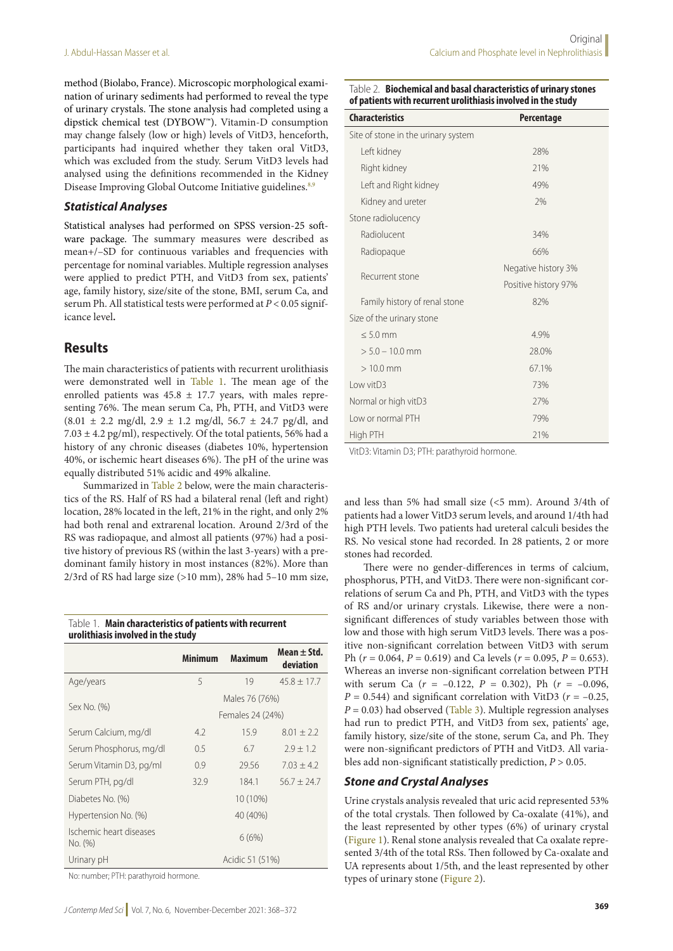method (Biolabo, France). Microscopic morphological examination of urinary sediments had performed to reveal the type of urinary crystals. The stone analysis had completed using a dipstick chemical test (DYBOW™). Vitamin-D consumption may change falsely (low or high) levels of VitD3, henceforth, participants had inquired whether they taken oral VitD3, which was excluded from the study. Serum VitD3 levels had analysed using the definitions recommended in the Kidney Disease Improving Global Outcome Initiative guidelines.<sup>8,9</sup>

### *Statistical Analyses*

Statistical analyses had performed on SPSS version-25 software package. The summary measures were described as mean+/–SD for continuous variables and frequencies with percentage for nominal variables. Multiple regression analyses were applied to predict PTH, and VitD3 from sex, patients' age, family history, size/site of the stone, BMI, serum Ca, and serum Ph. All statistical tests were performed at *P* < 0.05 significance level**.**

### **Results**

The main characteristics of patients with recurrent urolithiasis were demonstrated well in Table 1. The mean age of the enrolled patients was  $45.8 \pm 17.7$  years, with males representing 76%. The mean serum Ca, Ph, PTH, and VitD3 were  $(8.01 \pm 2.2 \text{ mg/dl}, 2.9 \pm 1.2 \text{ mg/dl}, 56.7 \pm 24.7 \text{ pg/dl}, \text{ and}$  $7.03 \pm 4.2$  pg/ml), respectively. Of the total patients, 56% had a history of any chronic diseases (diabetes 10%, hypertension 40%, or ischemic heart diseases 6%). The pH of the urine was equally distributed 51% acidic and 49% alkaline.

Summarized in Table 2 below, were the main characteristics of the RS. Half of RS had a bilateral renal (left and right) location, 28% located in the left, 21% in the right, and only 2% had both renal and extrarenal location. Around 2/3rd of the RS was radiopaque, and almost all patients (97%) had a positive history of previous RS (within the last 3-years) with a predominant family history in most instances (82%). More than  $2/3$ rd of RS had large size (>10 mm), 28% had 5–10 mm size,

| Table 1. Main characteristics of patients with recurrent |
|----------------------------------------------------------|
| urolithiasis involved in the study                       |

|                                    | Minimum          | <b>Maximum</b> | Mean $\pm$ Std.<br>deviation |  |
|------------------------------------|------------------|----------------|------------------------------|--|
| Age/years                          | 5                | 19             | $45.8 \pm 17.7$              |  |
| Sex No. (%)                        | Males 76 (76%)   |                |                              |  |
|                                    | Females 24 (24%) |                |                              |  |
| Serum Calcium, mg/dl               | 4.2              | 15.9           | $8.01 + 2.2$                 |  |
| Serum Phosphorus, mg/dl            | 0.5              | 6.7            | $7.9 + 1.2$                  |  |
| Serum Vitamin D3, pg/ml            | 0.9              | 29.56          | $7.03 + 4.2$                 |  |
| Serum PTH, pg/dl                   | 32.9             | 184.1          | $56.7 + 24.7$                |  |
| Diabetes No. (%)                   |                  | 10 (10%)       |                              |  |
| Hypertension No. (%)               |                  | 40 (40%)       |                              |  |
| Ischemic heart diseases<br>No. (%) |                  | 6(6%)          |                              |  |
| Acidic 51 (51%)<br>Urinary pH      |                  |                |                              |  |

No: number; PTH: parathyroid hormone.

| of patients with recurrent urolithiasis involved in the study |                      |  |  |  |  |
|---------------------------------------------------------------|----------------------|--|--|--|--|
| <b>Characteristics</b>                                        | Percentage           |  |  |  |  |
| Site of stone in the urinary system                           |                      |  |  |  |  |
| Left kidney                                                   | 28%                  |  |  |  |  |
| Right kidney                                                  | 21%                  |  |  |  |  |
| Left and Right kidney                                         | 49%                  |  |  |  |  |
| Kidney and ureter                                             | 7%                   |  |  |  |  |
| Stone radiolucency                                            |                      |  |  |  |  |
| Radiolucent                                                   | 34%                  |  |  |  |  |
| Radiopaque                                                    | 66%                  |  |  |  |  |
| Recurrent stone                                               | Negative history 3%  |  |  |  |  |
|                                                               | Positive history 97% |  |  |  |  |
| Family history of renal stone                                 | 82%                  |  |  |  |  |
| Size of the urinary stone                                     |                      |  |  |  |  |
| $< 5.0$ mm                                                    | 4.9%                 |  |  |  |  |
| $> 5.0 - 10.0$ mm                                             | 28.0%                |  |  |  |  |
| $>10.0$ mm                                                    | 67.1%                |  |  |  |  |
| Low vitD3                                                     | 73%                  |  |  |  |  |
| Normal or high vitD3                                          | 27%                  |  |  |  |  |
| Low or normal PTH                                             | 79%                  |  |  |  |  |
| High PTH                                                      | 21%                  |  |  |  |  |

Table 2. **Biochemical and basal characteristics of urinary stones** 

VitD3: Vitamin D3; PTH: parathyroid hormone.

and less than 5% had small size (<5 mm). Around 3/4th of patients had a lower VitD3 serum levels, and around 1/4th had high PTH levels. Two patients had ureteral calculi besides the RS. No vesical stone had recorded. In 28 patients, 2 or more stones had recorded.

There were no gender-differences in terms of calcium, phosphorus, PTH, and VitD3. There were non-significant correlations of serum Ca and Ph, PTH, and VitD3 with the types of RS and/or urinary crystals. Likewise, there were a nonsignificant differences of study variables between those with low and those with high serum VitD3 levels. There was a positive non-significant correlation between VitD3 with serum Ph ( $r = 0.064$ ,  $P = 0.619$ ) and Ca levels ( $r = 0.095$ ,  $P = 0.653$ ). Whereas an inverse non-significant correlation between PTH with serum Ca  $(r = -0.122, P = 0.302)$ , Ph  $(r = -0.096,$  $P = 0.544$ ) and significant correlation with VitD3 ( $r = -0.25$ ,  $P = 0.03$ ) had observed (Table 3). Multiple regression analyses had run to predict PTH, and VitD3 from sex, patients' age, family history, size/site of the stone, serum Ca, and Ph. They were non-significant predictors of PTH and VitD3. All variables add non-significant statistically prediction, *P* > 0.05.

### *Stone and Crystal Analyses*

Urine crystals analysis revealed that uric acid represented 53% of the total crystals. Then followed by Ca-oxalate (41%), and the least represented by other types (6%) of urinary crystal (Figure 1). Renal stone analysis revealed that Ca oxalate represented 3/4th of the total RSs. Then followed by Ca-oxalate and UA represents about 1/5th, and the least represented by other types of urinary stone (Figure 2).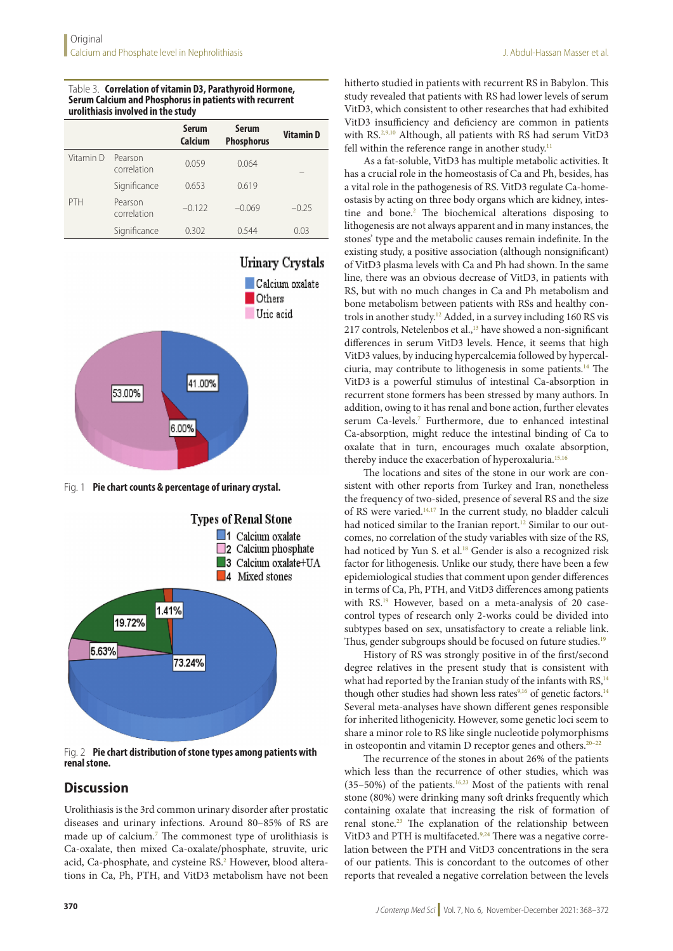#### Table 3. **Correlation of vitamin D3, Parathyroid Hormone, Serum Calcium and Phosphorus in patients with recurrent urolithiasis involved in the study**

|           |                        | <b>Serum</b><br>Calcium | <b>Serum</b><br><b>Phosphorus</b> | <b>VitaminD</b> |
|-----------|------------------------|-------------------------|-----------------------------------|-----------------|
| Vitamin D | Pearson<br>correlation | 0.059                   | 0.064                             |                 |
|           | Significance           | 0.653                   | 0.619                             |                 |
| PTH       | Pearson<br>correlation | $-0.122$                | $-0.069$                          | $-0.25$         |
|           | Significance           | 0.302                   | 0.544                             | 0.03            |



Fig. 1 **Pie chart counts & percentage of urinary crystal.**



Fig. 2 **Pie chart distribution of stone types among patients with renal stone.**

# **Discussion**

Urolithiasis is the 3rd common urinary disorder after prostatic diseases and urinary infections. Around 80–85% of RS are made up of calcium.<sup>7</sup> The commonest type of urolithiasis is Ca-oxalate, then mixed Ca-oxalate/phosphate, struvite, uric acid, Ca-phosphate, and cysteine RS.<del>?</del> However, blood alterations in Ca, Ph, PTH, and VitD3 metabolism have not been

hitherto studied in patients with recurrent RS in Babylon. This study revealed that patients with RS had lower levels of serum VitD3, which consistent to other researches that had exhibited VitD3 insufficiency and deficiency are common in patients with RS.<sup>2,9,10</sup> Although, all patients with RS had serum VitD3 fell within the reference range in another study.<sup>11</sup>

As a fat-soluble, VitD3 has multiple metabolic activities. It has a crucial role in the homeostasis of Ca and Ph, besides, has a vital role in the pathogenesis of RS. VitD3 regulate Ca-homeostasis by acting on three body organs which are kidney, intestine and bone.<sup>2</sup> The biochemical alterations disposing to lithogenesis are not always apparent and in many instances, the stones' type and the metabolic causes remain indefinite. In the existing study, a positive association (although nonsignificant) of VitD3 plasma levels with Ca and Ph had shown. In the same line, there was an obvious decrease of VitD3, in patients with RS, but with no much changes in Ca and Ph metabolism and bone metabolism between patients with RSs and healthy controls in another study.12 Added, in a survey including 160 RS vis 217 controls, Netelenbos et al.,<sup>13</sup> have showed a non-significant differences in serum VitD3 levels. Hence, it seems that high VitD3 values, by inducing hypercalcemia followed by hypercalciuria, may contribute to lithogenesis in some patients.14 The VitD3 is a powerful stimulus of intestinal Ca-absorption in recurrent stone formers has been stressed by many authors. In addition, owing to it has renal and bone action, further elevates serum Ca-levels.<sup>7</sup> Furthermore, due to enhanced intestinal Ca-absorption, might reduce the intestinal binding of Ca to oxalate that in turn, encourages much oxalate absorption, thereby induce the exacerbation of hyperoxaluria.<sup>15,16</sup>

The locations and sites of the stone in our work are consistent with other reports from Turkey and Iran, nonetheless the frequency of two-sided, presence of several RS and the size of RS were varied.14,17 In the current study, no bladder calculi had noticed similar to the Iranian report.<sup>12</sup> Similar to our outcomes, no correlation of the study variables with size of the RS, had noticed by Yun S. et al.<sup>18</sup> Gender is also a recognized risk factor for lithogenesis. Unlike our study, there have been a few epidemiological studies that comment upon gender differences in terms of Ca, Ph, PTH, and VitD3 differences among patients with RS.<sup>19</sup> However, based on a meta-analysis of 20 casecontrol types of research only 2-works could be divided into subtypes based on sex, unsatisfactory to create a reliable link. Thus, gender subgroups should be focused on future studies.<sup>19</sup>

History of RS was strongly positive in of the first/second degree relatives in the present study that is consistent with what had reported by the Iranian study of the infants with  $RS<sub>14</sub>$ though other studies had shown less rates $9,16$  of genetic factors.<sup>14</sup> Several meta-analyses have shown different genes responsible for inherited lithogenicity. However, some genetic loci seem to share a minor role to RS like single nucleotide polymorphisms in osteopontin and vitamin D receptor genes and others.20–22

The recurrence of the stones in about 26% of the patients which less than the recurrence of other studies, which was  $(35-50%)$  of the patients.<sup>16,23</sup> Most of the patients with renal stone (80%) were drinking many soft drinks frequently which containing oxalate that increasing the risk of formation of renal stone.23 The explanation of the relationship between VitD3 and PTH is multifaceted.<sup>9,24</sup> There was a negative correlation between the PTH and VitD3 concentrations in the sera of our patients. This is concordant to the outcomes of other reports that revealed a negative correlation between the levels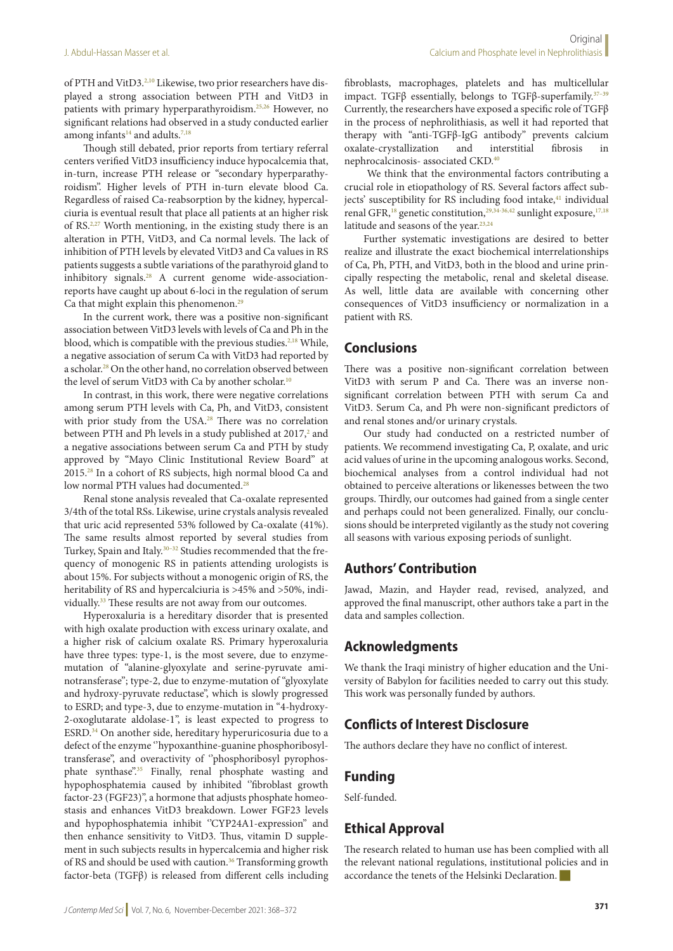of PTH and VitD3.<sup>2,10</sup> Likewise, two prior researchers have displayed a strong association between PTH and VitD3 in patients with primary hyperparathyroidism.<sup>25,26</sup> However, no significant relations had observed in a study conducted earlier among infants $14$  and adults.<sup>7,18</sup>

Though still debated, prior reports from tertiary referral centers verified VitD3 insufficiency induce hypocalcemia that, in-turn, increase PTH release or "secondary hyperparathyroidism''. Higher levels of PTH in-turn elevate blood Ca. Regardless of raised Ca-reabsorption by the kidney, hypercalciuria is eventual result that place all patients at an higher risk of RS.2,27 Worth mentioning, in the existing study there is an alteration in PTH, VitD3, and Ca normal levels. The lack of inhibition of PTH levels by elevated VitD3 and Ca values in RS patients suggests a subtle variations of the parathyroid gland to inhibitory signals.<sup>28</sup> A current genome wide-associationreports have caught up about 6-loci in the regulation of serum Ca that might explain this phenomenon.<sup>29</sup>

In the current work, there was a positive non-significant association between VitD3 levels with levels of Ca and Ph in the blood, which is compatible with the previous studies.<sup>2,18</sup> While, a negative association of serum Ca with VitD3 had reported by a scholar.28 On the other hand, no correlation observed between the level of serum VitD3 with Ca by another scholar.<sup>10</sup>

In contrast, in this work, there were negative correlations among serum PTH levels with Ca, Ph, and VitD3, consistent with prior study from the USA.28 There was no correlation between PTH and Ph levels in a study published at 2017,<sup>2</sup> and a negative associations between serum Ca and PTH by study approved by "Mayo Clinic Institutional Review Board'' at 2015.28 In a cohort of RS subjects, high normal blood Ca and low normal PTH values had documented.<sup>28</sup>

Renal stone analysis revealed that Ca-oxalate represented 3/4th of the total RSs. Likewise, urine crystals analysis revealed that uric acid represented 53% followed by Ca-oxalate (41%). The same results almost reported by several studies from Turkey, Spain and Italy.<sup>30–32</sup> Studies recommended that the frequency of monogenic RS in patients attending urologists is about 15%. For subjects without a monogenic origin of RS, the heritability of RS and hypercalciuria is >45% and >50%, individually.<sup>33</sup> These results are not away from our outcomes.

Hyperoxaluria is a hereditary disorder that is presented with high oxalate production with excess urinary oxalate, and a higher risk of calcium oxalate RS. Primary hyperoxaluria have three types: type-1, is the most severe, due to enzymemutation of "alanine-glyoxylate and serine-pyruvate aminotransferase''; type-2, due to enzyme-mutation of "glyoxylate and hydroxy-pyruvate reductase'', which is slowly progressed to ESRD; and type-3, due to enzyme-mutation in "4-hydroxy-2-oxoglutarate aldolase-1'', is least expected to progress to ESRD.34 On another side, hereditary hyperuricosuria due to a defect of the enzyme ''hypoxanthine-guanine phosphoribosyltransferase", and overactivity of "phosphoribosyl pyrophosphate synthase".<sup>35</sup> Finally, renal phosphate wasting and hypophosphatemia caused by inhibited ''fibroblast growth factor-23 (FGF23)'', a hormone that adjusts phosphate homeostasis and enhances VitD3 breakdown. Lower FGF23 levels and hypophosphatemia inhibit ''CYP24A1-expression'' and then enhance sensitivity to VitD3. Thus, vitamin D supplement in such subjects results in hypercalcemia and higher risk of RS and should be used with caution.<sup>36</sup> Transforming growth factor-beta (TGFβ) is released from different cells including fibroblasts, macrophages, platelets and has multicellular impact. TGF $\beta$  essentially, belongs to TGF $\beta$ -superfamily.<sup>37-39</sup> Currently, the researchers have exposed a specific role of TGFβ in the process of nephrolithiasis, as well it had reported that therapy with "anti-TGFβ-IgG antibody'' prevents calcium oxalate-crystallization and interstitial fibrosis in nephrocalcinosis- associated CKD.<sup>40</sup>

 We think that the environmental factors contributing a crucial role in etiopathology of RS. Several factors affect subjects' susceptibility for RS including food intake,<sup>41</sup> individual renal GFR,<sup>18</sup> genetic constitution,<sup>29,34-36,42</sup> sunlight exposure,<sup>17,18</sup> latitude and seasons of the year.<sup>23,24</sup>

Further systematic investigations are desired to better realize and illustrate the exact biochemical interrelationships of Ca, Ph, PTH, and VitD3, both in the blood and urine principally respecting the metabolic, renal and skeletal disease. As well, little data are available with concerning other consequences of VitD3 insufficiency or normalization in a patient with RS.

# **Conclusions**

There was a positive non-significant correlation between VitD3 with serum P and Ca. There was an inverse nonsignificant correlation between PTH with serum Ca and VitD3. Serum Ca, and Ph were non-significant predictors of and renal stones and/or urinary crystals.

Our study had conducted on a restricted number of patients. We recommend investigating Ca, P, oxalate, and uric acid values of urine in the upcoming analogous works. Second, biochemical analyses from a control individual had not obtained to perceive alterations or likenesses between the two groups. Thirdly, our outcomes had gained from a single center and perhaps could not been generalized. Finally, our conclusions should be interpreted vigilantly as the study not covering all seasons with various exposing periods of sunlight.

# **Authors' Contribution**

Jawad, Mazin, and Hayder read, revised, analyzed, and approved the final manuscript, other authors take a part in the data and samples collection.

# **Acknowledgments**

We thank the Iraqi ministry of higher education and the University of Babylon for facilities needed to carry out this study. This work was personally funded by authors.

# **Conflicts of Interest Disclosure**

The authors declare they have no conflict of interest.

# **Funding**

Self-funded.

# **Ethical Approval**

The research related to human use has been complied with all the relevant national regulations, institutional policies and in accordance the tenets of the Helsinki Declaration.